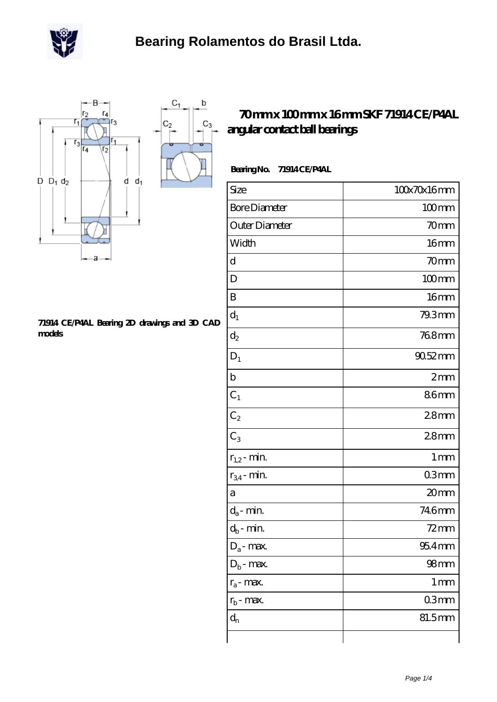

 $\mathbf b$ 

 $C_3$ 



## **[71914 CE/P4AL Bearing 2D drawings and 3D CAD](https://m.scottrobertalexander.com/pic-539712.html) [models](https://m.scottrobertalexander.com/pic-539712.html)**

## **[70 mm x 100 mm x 16 mm SKF 71914 CE/P4AL](https://m.scottrobertalexander.com/skf-71914-ce-p4al-bearing/) [angular contact ball bearings](https://m.scottrobertalexander.com/skf-71914-ce-p4al-bearing/)**

| <b>Bearing No.</b> | 71914CE/P4AL |
|--------------------|--------------|
|                    |              |

| Size                 | 100x70x16mm         |
|----------------------|---------------------|
| <b>Bore Diameter</b> | $100$ mm            |
| Outer Diameter       | 70mm                |
| Width                | 16mm                |
| d                    | 70 <sub>mm</sub>    |
| D                    | $100$ mm            |
| B                    | 16 <sub>mm</sub>    |
| $d_1$                | 79.3mm              |
| $d_2$                | 768mm               |
| $D_1$                | 90.52mm             |
| $\mathbf b$          | 2mm                 |
| $\mathrm{C}_1$       | 86mm                |
| C <sub>2</sub>       | 28 <sub>mm</sub>    |
| $C_3$                | 28 <sub>mm</sub>    |
| $r_{1,2}$ - min.     | 1 <sub>mm</sub>     |
| $r_{34}$ - min.      | 03mm                |
| a                    | 20mm                |
| $d_a$ - min.         | 746mm               |
| $d_b$ - $\min$       | $72$ mm             |
| $D_a$ - max.         | $954$ <sub>mm</sub> |
| $D_b$ - max.         | 98 <sub>mm</sub>    |
| $r_a$ - max.         | $1 \,\mathrm{mm}$   |
| $r_{\rm b}$ - max.   | 03mm                |
| $d_{n}$              | 81.5mm              |
|                      |                     |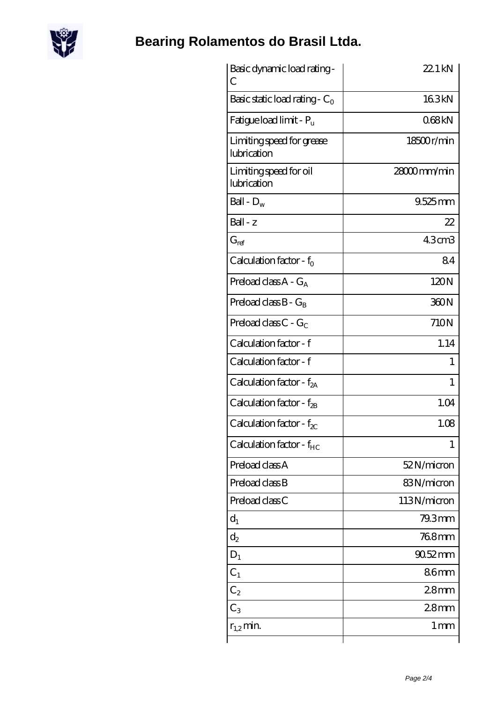

## **[Bearing Rolamentos do Brasil Ltda.](https://m.scottrobertalexander.com)**

| Basic dynamic load rating-<br>С          | 22.1 kN           |
|------------------------------------------|-------------------|
| Basic static load rating - $C_0$         | 163kN             |
| Fatigue load limit - P <sub>u</sub>      | 068kN             |
| Limiting speed for grease<br>lubrication | 18500r/min        |
| Limiting speed for oil<br>lubrication    | 28000mm/min       |
| Ball - $D_w$                             | $9.525$ mm        |
| $Ball - z$                               | 22                |
| $G_{ref}$                                | 43cm <sub>3</sub> |
| Calculation factor - $f_0$               | 84                |
| Preload class $A - G_A$                  | 120N              |
| Preload class $B - G_B$                  | 360N              |
| Preload class C - $G_C$                  | 710N              |
| Calculation factor - f                   | 1.14              |
| Calculation factor - f                   | 1                 |
| Calculation factor - $f_{2A}$            | $\mathbf{1}$      |
| Calculation factor - f <sub>2B</sub>     | 1.04              |
| Calculation factor - $f_{\chi}$          | 1.08              |
| Calculation factor - $f_{HC}$            | 1                 |
| Preload class A                          | 52N/micron        |
| Preload class B                          | 83N/micron        |
| Preload class C                          | 113N/micron       |
| $d_1$                                    | 79.3mm            |
| $\mathrm{d}_2$                           | 768mm             |
| $D_1$                                    | $9052$ mm         |
| $C_1$                                    | 86mm              |
| $C_2$                                    | 28 <sub>mm</sub>  |
| $C_3$                                    | 28 <sub>mm</sub>  |
| $r_{1,2}$ min.                           | 1 <sub>mm</sub>   |
|                                          |                   |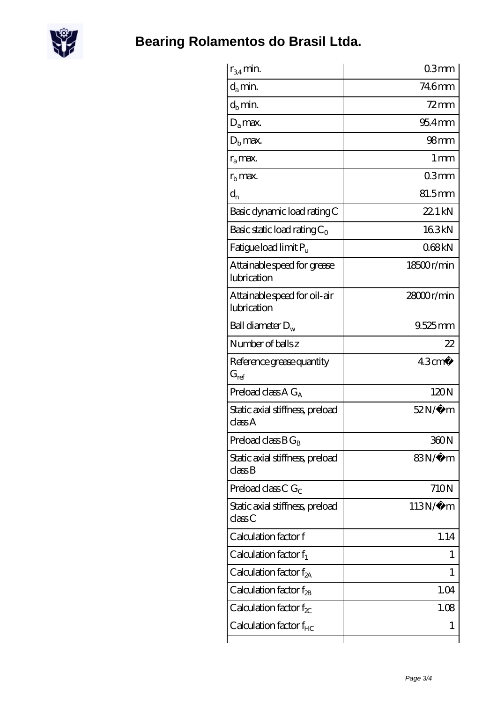

| $r_{34}$ min.                                                 | 03mm              |
|---------------------------------------------------------------|-------------------|
| $d_{a}$ min.                                                  | 746mm             |
| $d_h$ min.                                                    | $72$ mm           |
| $D_a$ max.                                                    | $954$ mm          |
| $Db$ max.                                                     | 98 <sub>mm</sub>  |
| $r_a$ max.                                                    | $1 \,\mathrm{mm}$ |
| $r_{\rm b}$ max.                                              | 03mm              |
| $d_{n}$                                                       | 81.5mm            |
| Basic dynamic load rating C                                   | $221$ kN          |
| Basic static load rating $C_0$                                | 163kN             |
| Fatigue load limit Pu                                         | 068kN             |
| Attainable speed for grease<br>lubrication                    | 18500r/min        |
| Attainable speed for oil-air<br>lubrication                   | $28000$ r/min     |
| Ball diameter $D_w$                                           | $9.525$ mm        |
| Number of balls z                                             | 22                |
| Reference grease quantity<br>$G_{ref}$                        | $43 \text{cm}^3$  |
| Preload class A $G_A$                                         | 120N              |
| Static axial stiffness, preload<br>classA                     | $52N/\mu$ m       |
| Preload class $B G_B$                                         | 360N              |
| Static axial stiffness, preload<br>$\mathrm{class}\mathrm{B}$ | 83N∕µ m           |
| Preload class C $G_C$                                         | 710N              |
| Static axial stiffness, preload<br>classC                     | $113N/\mu$ m      |
| Calculation factor f                                          | 1.14              |
| Calculation factor $f_1$                                      | $\mathbf{I}$      |
|                                                               |                   |
| Calculation factor $f_{2A}$                                   | 1                 |
| Calculation factor $f_{\rm 2B}$                               | 1.04              |
| Calculation factor $f_{\chi}$                                 | 1.08              |
| Calculation factor $f_{HC}$                                   | 1                 |